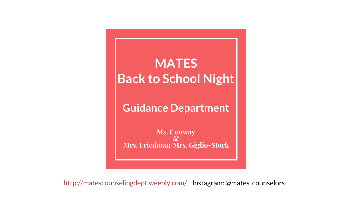### **MATES Back to School Night**

**Guidance Department** 

**Ms. Conway & Mrs. Friedman/Mrs. Giglio-Stork**

<http://matescounselingdept.weebly.com/> Instagram: @mates\_counselors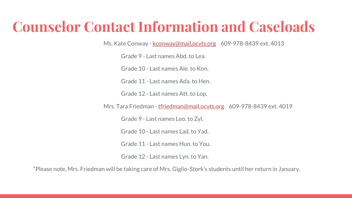### **Counselor Contact Information and Caseloads**

Ms. Kate Conway - [kconway@mail.ocvts.org](mailto:kconway@mail.ocvts.org) 609-978-8439 ext. 4013

Grade 9 - Last names Abd. to Lea.

Grade 10 - Last names Ale. to Kon.

Grade 11 - Last names Ada. to Hen.

Grade 12 - Last names Att. to Lop.

Mrs. Tara Friedman - [tfriedman@mail.ocvts.org](mailto:tfriedman@mail.ocvts.org) 609-978-8439 ext. 4019

Grade 9 - Last names Leo. to Zyl.

Grade 10 - Last names Lad. to Yad.

Grade 11 - Last names Hun. to You.

Grade 12 - Last names Lyn. to Yan.

\*Please note, Mrs. Friedman will be taking care of Mrs. Giglio-Stork's students until her return in January.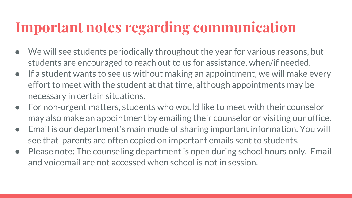### **Important notes regarding communication**

- We will see students periodically throughout the year for various reasons, but students are encouraged to reach out to us for assistance, when/if needed.
- If a student wants to see us without making an appointment, we will make every effort to meet with the student at that time, although appointments may be necessary in certain situations.
- For non-urgent matters, students who would like to meet with their counselor may also make an appointment by emailing their counselor or visiting our office.
- Email is our department's main mode of sharing important information. You will see that parents are often copied on important emails sent to students.
- Please note: The counseling department is open during school hours only. Email and voicemail are not accessed when school is not in session.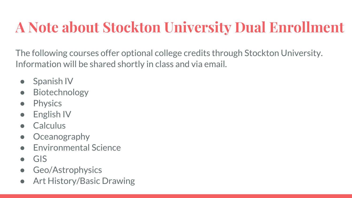### **A Note about Stockton University Dual Enrollment**

The following courses offer optional college credits through Stockton University. Information will be shared shortly in class and via email.

- Spanish IV
- **Biotechnology**
- **Physics**
- **English IV**
- **Calculus**
- **Oceanography**
- **Environmental Science**
- $\bullet$  GIS
- Geo/Astrophysics
- Art History/Basic Drawing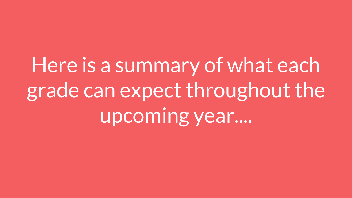# Here is a summary of what each grade can expect throughout the upcoming year....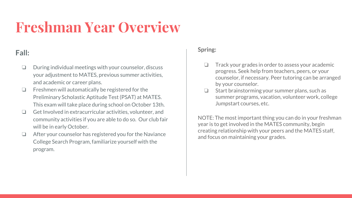### **Freshman Year Overview**

### **Fall:**

- ❏ During individual meetings with your counselor, discuss your adjustment to MATES, previous summer activities, and academic or career plans.
- ❏ Freshmen will automatically be registered for the Preliminary Scholastic Aptitude Test (PSAT) at MATES. This exam will take place during school on October 13th.
- ❏ Get Involved in extracurricular activities, volunteer, and community activities if you are able to do so. Our club fair will be in early October.
- ❏ After your counselor has registered you for the Naviance College Search Program, familiarize yourself with the program.

#### **Spring:**

- ❏ Track your grades in order to assess your academic progress. Seek help from teachers, peers, or your counselor, if necessary. Peer tutoring can be arranged by your counselor.
- ❏ Start brainstorming your summer plans, such as summer programs, vacation, volunteer work, college Jumpstart courses, etc.

NOTE: The most important thing you can do in your freshman year is to get involved in the MATES community, begin creating relationship with your peers and the MATES staff, and focus on maintaining your grades.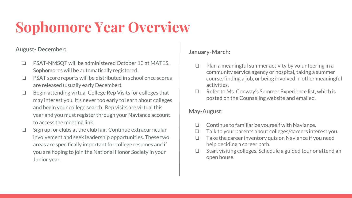## **Sophomore Year Overview**

#### **August- December:**

- ❏ PSAT-NMSQT will be administered October 13 at MATES. Sophomores will be automatically registered.
- ❏ PSAT score reports will be distributed in school once scores are released (usually early December).
- ❏ Begin attending virtual College Rep Visits for colleges that may interest you. It's never too early to learn about colleges and begin your college search! Rep visits are virtual this year and you must register through your Naviance account to access the meeting link.
- ❏ Sign up for clubs at the club fair. Continue extracurricular involvement and seek leadership opportunities. These two areas are specifically important for college resumes and if you are hoping to join the National Honor Society in your Junior year.

#### **January-March:**

- ❏ Plan a meaningful summer activity by volunteering in a community service agency or hospital, taking a summer course, finding a job, or being involved in other meaningful activities.
- ❏ Refer to Ms. Conway's Summer Experience list, which is posted on the Counseling website and emailed.

#### **May-August:**

- ❏ Continue to familiarize yourself with Naviance.
- ❏ Talk to your parents about colleges/careers interest you.
- ❏ Take the career inventory quiz on Naviance if you need help deciding a career path.
- ❏ Start visiting colleges. Schedule a guided tour or attend an open house.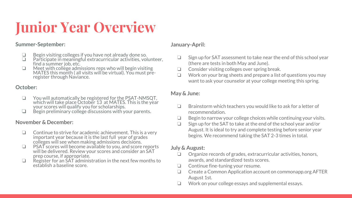## **Junior Year Overview**

#### **Summer-September:**

- ❏ Begin visiting colleges if you have not already done so.
- ❏ Participate in meaningful extracurricular activities, volunteer, find a summer job, etc.
- ❏ Meet with college admissions reps who will begin visiting MATES this month ( all visits will be virtual). You must preregister through Naviance.

#### **October:**

- ❏ You will automatically be registered for the PSAT-NMSQT, which will take place October 13 at MATES. This is the year your scores will qualify you for scholarships.
- ❏ Begin preliminary college discussions with your parents.

#### **November & December:**

- ❏ Continue to strive for academic achievement. This is a very important year because it is the last full year of grades colleges will see when making admissions decisions.
- ❏ PSAT scores will become available to you, and score reports will be delivered. Review your scores and consider an SAT prep course, if appropriate.
- ❏ Register for an SAT administration in the next few months to establish a baseline score.

#### **January-April:**

- ❏ Sign up for SAT assessment to take near the end of this school year (there are tests in both May and June).
- ❏ Consider visiting colleges over spring break.
- ❏ Work on your brag sheets and prepare a list of questions you may want to ask your counselor at your college meeting this spring.

#### **May & June:**

- ❏ Brainstorm which teachers you would like to ask for a letter of recommendation.
- ❏ Begin to narrow your college choices while continuing your visits.
- ❏ Sign up for the SAT to take at the end of the school year and/or August. It is ideal to try and complete testing before senior year begins. We recommend taking the SAT 2-3 times in total.

#### **July & August:**

- ❏ Organize records of grades, extracurricular activities, honors, awards, and standardized tests scores.
- ❏ Continue fine-tuning your resume.
- ❏ Create a Common Application account on commonapp.org AFTER August 1st.
- ❏ Work on your college essays and supplemental essays.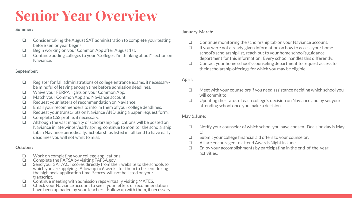### **Senior Year Overview**

#### **Summer:**

- ❏ Consider taking the August SAT administration to complete your testing before senior year begins.
- ❏ Begin working on your Common App after August 1st.
- ❏ Continue adding colleges to your "Colleges I'm thinking about" section on Naviance.

#### **September:**

- ❏ Register for fall administrations of college entrance exams, if necessarybe mindful of leaving enough time before admission deadlines.
- ❏ Waive your FERPA rights on your Common App.
- ❏ Match your Common App and Naviance account.
- ❏ Request your letters of recommendation on Naviance.
- ❏ Email your recommenders to inform them of your college deadlines.
- ❏ Request your transcripts on Naviance AND using a paper request form.
- ❏ Complete CSS profile, if necessary.
- ❏ Although the vast majority of scholarship applications will be posted on Naviance in late winter/early spring, continue to monitor the scholarship tab in Naviance periodically. Scholarships listed in fall tend to have early deadlines you will not want to miss.

#### **October:**

- ❏ Work on completing your college applications.
- ❏ Complete the FAFSA by visiting FAFSA.gov.
- ❏ Send your SAT/ACT scores directly from their website to the schools to which you are applying. Allow up to 6 weeks for them to be sent during the high peak application time. Scores will not be listed on your transcript.
- $\Box$  Continue meeting with admission reps virtually visiting MATES.<br> $\Box$  Check your Naviance account to see if your letters of recommer
- ❏ Check your Naviance account to see if your letters of recommendation have been uploaded by your teachers. Follow up with them, if necessary.

#### **January-March:**

- ❏ Continue monitoring the scholarship tab on your Naviance account.
- ❏ If you were not already given information on how to access your home school's scholarship list, reach out to your home school's guidance department for this information. Every school handles this differently.
- ❏ Contact your home school's counseling department to request access to their scholarship offerings for which you may be eligible.

#### **April:**

- ❏ Meet with your counselors if you need assistance deciding which school you will commit to.
- ❏ Updating the status of each college's decision on Naviance and by set your attending school once you make a decision.

#### **May & June:**

- ❏ Notify your counselor of which school you have chosen. Decision day is May 1!
- ❏ Submit your college financial aid offers to your counselor.
- ❏ All are encouraged to attend Awards Night in June.
- ❏ Enjoy your accomplishments by participating in the end-of-the-year activities.